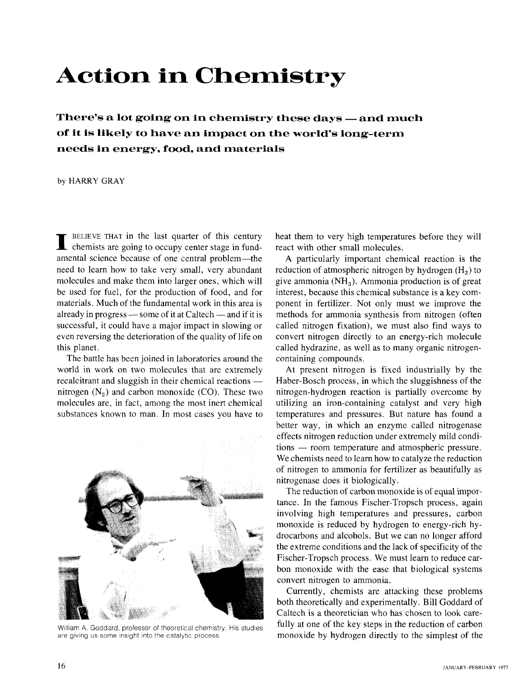## **Action in Chemistry**

There's a lot going on in chemistry these days — and much **of it is likely to have an impact on the world's long-term needs in energy, food, and materials** 

by **HARRY** GRAY

**I** BELIEVE THAT in the last quarter of this century chemists are going to occupy center stage in fundamental science because of one central problem-the need to learn how to take very small, very abundant molecules and make them into larger ones, which will be used for fuel, for the production of food, and for materials. Much of the fundamental work in this area is be used for fuel, for the production of food, and for<br>materials. Much of the fundamental work in this area is<br>already in progress — some of it at Caltech — and if it is successful, it could have a major impact in slowing or even reversing the deterioration of the quality of life on this planet.

The battle has been joined in laboratories around the world in work on two molecules that are extremely The battle has been joined in laboratories around the<br>world in work on two molecules that are extremely<br>recalcitrant and sluggish in their chemical reactions nitrogen  $(N_2)$  and carbon monoxide (CO). These two molecules are, in fact, among the most inert chemical substances known to man. In most cases you have to



William A. Goddard, professor of theoretical chemistry: His studies are giving us some insight into the catalytic process.

heat them to very high temperatures before they will react with other small molecules.

A particularly important chemical reaction is the reduction of atmospheric nitrogen by hydrogen  $(H<sub>2</sub>)$  to give ammonia  $(NH<sub>3</sub>)$ . Ammonia production is of great interest, because this chemical substance is a key component in fertilizer. Not only must we improve the methods for ammonia synthesis from nitrogen (often called nitrogen fixation), we must also find ways to convert nitrogen directly to an energy-rich molecule called hydrazine, as well as to many organic nitrogencontaining compounds.

At present nitrogen is fixed industrially by the Haber-Bosch process, in which the sluggishness of the nitrogen-hydrogen reaction is partially overcome by utilizing an iron-containing catalyst and very high temperatures and pressures. But nature has found a better way, in which an enzyme called nitrogenase effects nitrogen reduction under extremely mild condibetter way, in which an enzyme called nitrogenase<br>effects nitrogen reduction under extremely mild condi-<br>tions — room temperature and atmospheric pressure. We chemists need to learn how to catalyze the reduction of nitrogen to ammonia for fertilizer as beautifully as nitrogenase does it biologically.

The reduction of carbon monoxide is of equal importance. In the famous Fischer-Tropsch process, again involving high temperatures and pressures, carbon monoxide is reduced by hydrogen to energy-rich hydrocarbons and alcohols. But we can no longer afford the extreme conditions and the lack of specificity of the Fischer-Tropsch process. We must learn to reduce carbon monoxide with the ease that biological systems convert nitrogen to ammonia.

Currently, chemists are attacking these problems both theoretically and experimentally. Bill Goddard of Caltech is a theoretician who has chosen to look carefully at one of the key steps in the reduction of carbon monoxide by hydrogen directly to the simplest of the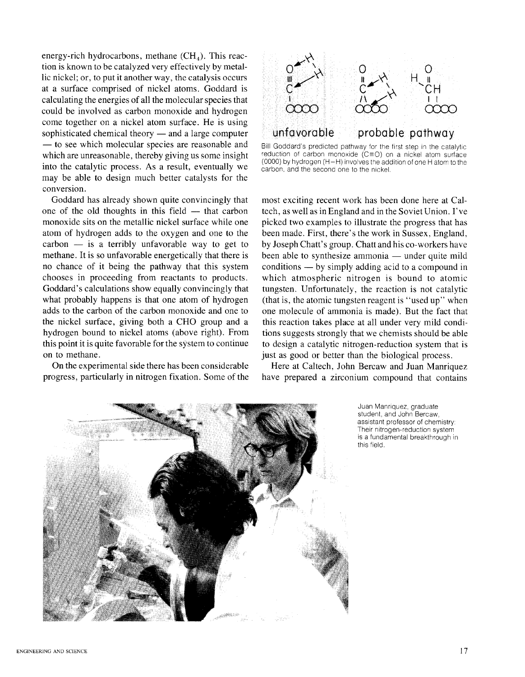energy-rich hydrocarbons, methane  $(CH<sub>4</sub>)$ . This reaction is known to be catalyzed very effectively by metallic nickel; or, to put it another way, the catalysis occurs at a surface comprised of nickel atoms. Goddard is calculating the energies of all the molecular species that could be involved as carbon monoxide and hydrogen come together on a nickel atom surface. He is using could be involved as carbon monoxide and nydrogen<br>come together on a nickel atom surface. He is using<br>sophisticated chemical theory — and a large computer sophisticated chemical theory — and a large computer<br>— to see which molecular species are reasonable and which are unreasonable, thereby giving us some insight into the catalytic process. As a result, eventually we may be able to design much better catalysts for the conversion.

Goddard has already shown quite convincingly that one of the old thoughts in this field  $-$  that carbon monoxide sits on the metallic nickel surface while one atom of hydrogen adds to the oxygen and one to the monoxide sits on the metallic nickel surface while one<br>atom of hydrogen adds to the oxygen and one to the<br>carbon — is a terribly unfavorable way to get to methane. It is so unfavorable energetically that there is no chance of it being the pathway that this system chooses in proceeding from reactants to products. Goddard's calculations show equally convincingly that what probably happens is that one atom of hydrogen adds to the carbon of the carbon monoxide and one to the nickel surface, giving both a CHO group and a hydrogen bound to nickel atoms (above right). From this point it is quite favorable for the system to continue on to methane.

On the experimental side there has been considerable progress, particularly in nitrogen fixation. Some of the



Bill Goddard's predicted pathway for the first step in the catalytic reduction of carbon monoxide  $(C=O)$  on a nickel atom surface (0000) by hydrogen  $(H-H)$  involves the addition of one H atom to the carbon, and the second one to the nickel.

most exciting recent work has been done here at Caltech, as well as in England and in the Soviet Union. I've picked two examples to illustrate the progress that has been made. First, there's the work in Sussex, England, by Joseph Chatt's group. Chatt and his co-workers have been made. First, there s the work in Sussex, England,<br>by Joseph Chatt's group. Chatt and his co-workers have<br>been able to synthesize ammonia — under quite mild by Joseph Chatt s group. Chatt and his co-workers have<br>been able to synthesize ammonia — under quite mild<br>conditions — by simply adding acid to a compound in which atmospheric nitrogen is bound to atomic tungsten. Unfortunately, the reaction is not catalytic (that is, the atomic tungsten reagent is "used up" when one molecule of ammonia is made). But the fact that this reaction takes place at all under very mild conditions suggests strongly that we chemists should be able to design a catalytic nitrogen-reduction system that is just as good or better than the biological process.

Here at Caltech, John Bercaw and Juan Manriquez have prepared a zirconium compound that contains



Juan Manriquez, graduate student, and John Bercaw, assistant professor of chemistry: Their nitrogen-reduction system is a fundamental breakthrough in this field.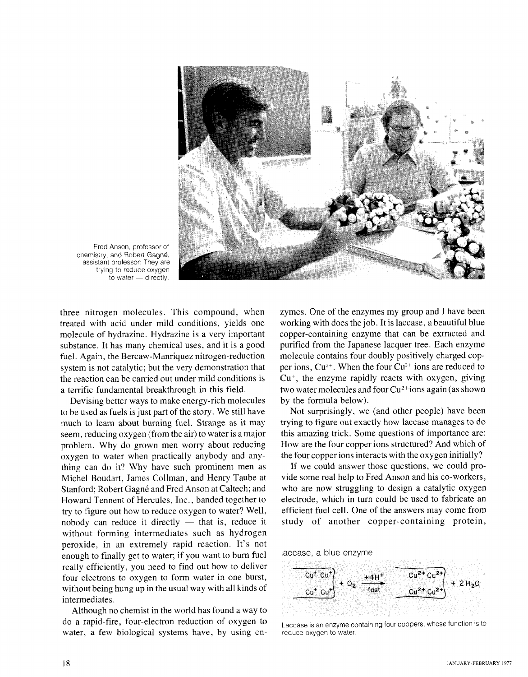

Fred Anson, professor of chemistry, and Robert Gagné, assistant professor: They are tant professor: They are<br>
rying to reduce oxygen<br>
to water — directly.

three nitrogen molecules. This compound, when treated with acid under mild conditions, yields one molecule of hydrazine. Hydrazine is a very important substance. It has many chemical uses, and it is a good fuel. Again, the Bercaw-Manriquez nitrogen-reduction system is not catalytic; but the very demonstration that the reaction can be carried out under mild conditions is a terrific fundamental breakthrough in this field.

Devising better ways to make energy-rich molecules to be used as fuels is just part of the story. We still have much to learn about burning fuel. Strange as it may seem, reducing oxygen (from the air) to water is a major problem. Why do grown men worry about reducing oxygen to water when practically anybody and anything can do it? Why have such prominent men as Michel Boudart, James Collman, and Henry Taube at Stanford; Robert Gagné and Fred Anson at Caltech; and Howard Tennent of Hercules, Inc., banded together to try to figure out how to reduce oxygen to water? Well, nobody can reduce it directly  $-$  that is, reduce it without forming intermediates such as hydrogen peroxide, in an extremely rapid reaction. It's not enough to finally get to water; if you want to burn fuel really efficiently, you need to find out how to deliver four electrons to oxygen to form water in one burst, without being hung up in the usual way with all kinds of intermediates.

Although no chemist in the world has found a way to do a rapid-fire, four-electron reduction of oxygen to water, a few biological systems have, by using enzymes. One of the enzymes my group and I have been working with does the job. It is laccase, a beautiful blue copper-containing enzyme that can be extracted and purified from the Japanese lacquer tree. Each enzyme molecule contains four doubly positively charged copper ions,  $Cu^{2+}$ . When the four  $Cu^{2+}$  ions are reduced to  $Cu<sup>+</sup>$ , the enzyme rapidly reacts with oxygen, giving two water molecules and four  $Cu^{2+}$ ions again (as shown by the formula below).

Not surprisingly, we (and other people) have been trying to figure out exactly how laccase manages to do this amazing trick. Some questions of importance are: How are the four copper ions structured? And which of the four copper ions interacts with the oxygen initially?

If we could answer those questions, we could provide some real help to Fred Anson and his co-workers, who are now struggling to design a catalytic oxygen electrode, which in turn could be used to fabricate an efficient fuel cell. One of the answers may come from study of another copper-containing protein,





Laccase is an enzyme containing four coppers, whose function is to reduce oxygen to water.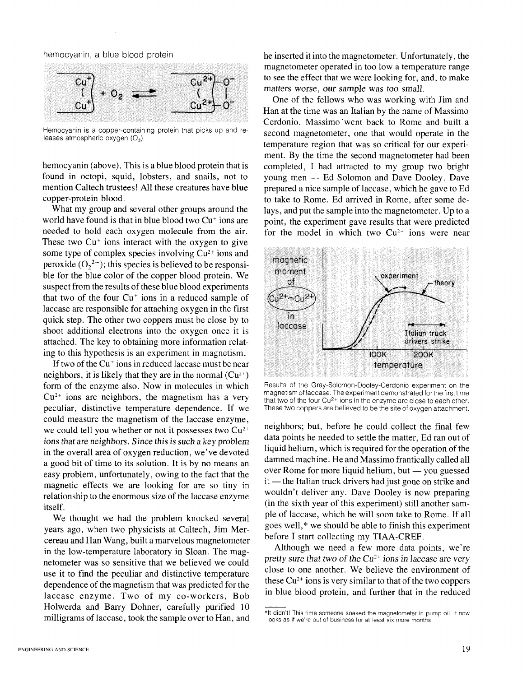

Hemocyanin is a copper-containing protein that picks up and releases atmospheric oxygen (O,).

hemocyanin (above). This is a blue blood protein that is found in octopi, squid, lobsters, and snails, not to mention Caltech trustees! All these creatures have blue copper-protein blood.

What my group and several other groups around the world have found is that in blue blood two  $Cu<sup>+</sup>$  ions are needed to hold each oxygen molecule from the air. These two  $Cu<sup>+</sup>$  ions interact with the oxygen to give some type of complex species involving  $Cu^{2+}$  ions and peroxide  $(O_2^2)$ ; this species is believed to be responsible for the blue color of the copper blood protein. We suspect from the results of these blue blood experiments that two of the four  $Cu<sup>+</sup>$  ions in a reduced sample of laccase are responsible for attaching oxygen in the first quick step. The other two coppers must be close by to shoot additional electrons into the oxygen once it is attached. The key to obtaining more information relating to this hypothesis is an experiment in magnetism.

If two of the  $Cu<sup>+</sup>$  ions in reduced laccase must be near neighbors, it is likely that they are in the normal  $(Cu^{2+})$ form of the enzyme also. Now in molecules in which  $Cu<sup>2+</sup>$  ions are neighbors, the magnetism has a very peculiar, distinctive temperature dependence. If we could measure the magnetism of the laccase enzyme, we could tell you whether or not it possesses two  $Cu^{2+}$ ions that are neighbors. Since this is such a key problem in the overall area of oxygen reduction, we've devoted a good bit of time to its solution. It is by no means an easy problem, unfortunately, owing to the fact that the magnetic effects we are looking for are so tiny in relationship to the enormous size of the laccase enzyme itself.

We thought we had the problem knocked several years ago, when two physicists at Caltech, Jim Mercereau and Han Wang, built a marvelous magnetometer in the low-temperature laboratory in Sloan. The magnetometer was so sensitive that we believed we could use it to find the peculiar and distinctive temperature dependence of the magnetism that was predicted for the laccase enzyme. Two of my co-workers, Bob Holwerda and Barry Dohner, carefully purified 10 milligrams of laccase, took the sample over to Han, and

he inserted it into the magnetometer. Unfortunately, the hermocyanin, a blue blood protein magnetometer operated in too low a temperature range to see the effect that we were looking for, and, to make matters worse, our sample was too small.

> One of the fellows who was working with Jim and Han at the time was an Italian by the name of Massimo Cerdonio. Massimo'went back to Rome and built a second magnetometer, one that would operate in the temperature region that was so critical for our experiment. By the time the second magnetometer had been completed, I had attracted to my group two bright ment. By the time the second magnetometer had been<br>completed, I had attracted to my group two bright<br>young men — Ed Solomon and Dave Dooley. Dave prepared a nice sample of laccase, which he gave to Ed to take to Rome. Ed arrived in Rome, after some delays, and put the sample into the magnetometer. Up to a point, the experiment gave results that were predicted for the model in which two  $Cu^{2+}$  ions were near



Results of the Gray-Solomon-Dooley-Cerdonio experiment on the magnetism of laccase. The experiment demonstrated for the first time that two of the four Cu<sup>2+</sup> ions in the enzyme are close to each other. These two coppers are believed to be the site of oxygen attachment.

neighbors; but, before he could collect the final few data points he needed to settle the matter, Ed ran out of liquid helium, which is required for the operation of the damned machine. He and Massimo frantically called all nquid nenum, which is required for the operation of the<br>damned machine. He and Massimo frantically called all<br>over Rome for more liquid helium, but — you guessed damned machine. He and Massimo frantically called all<br>over Rome for more liquid helium, but — you guessed<br>it — the Italian truck drivers had just gone on strike and wouldn't deliver any. Dave Dooley is now preparing (in the sixth year of this experiment) still another sample of laccase, which he will soon take to Rome. If all goes well,\* we should be able to finish this experiment before I start collecting my TIAA-CREF.

Although we need a few more data points, we're pretty sure that two of the Cu<sup>2+</sup> ions in laccase are very close to one another. We believe the environment of these  $Cu<sup>2+</sup>$  ions is very similar to that of the two coppers in blue blood protein, and further that in the reduced

<sup>\*</sup>It didn't! This time someone soaked the magnetometer in pump oil It now looks as if we're out of business for at least six more months.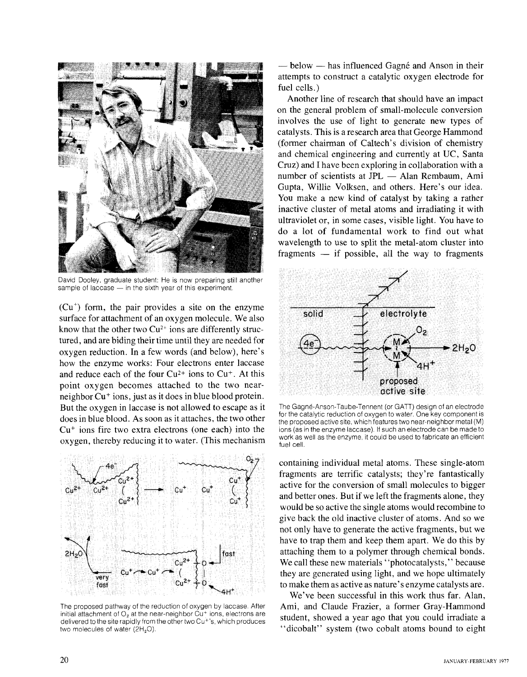

David Dooley, graduate student: He is now preparing still another<br>sample of laccase — in the sixth year of this experiment.

 $(Cu<sup>+</sup>)$  form, the pair provides a site on the enzyme surface for attachment of an oxygen molecule. We also know that the other two  $Cu^{2+}$  ions are differently structured, and are biding their time until they are needed for oxygen reduction. In a few words (and below), here's how the enzyme works: Four electrons enter laccase and reduce each of the four  $Cu^{2+}$  ions to  $Cu^{+}$ . At this point oxygen becomes attached to the two nearneighbor Cu+ ions, just as it does in blue blood protein. But the oxygen in laccase is not allowed to escape as it does in blue blood. As soon as it attaches, the two other  $Cu<sup>+</sup>$  ions fire two extra electrons (one each) into the oxygen, thereby reducing it to water. (This mechanism



The proposed pathway of the reduction of oxygen by laccase. After initial attachment of  $O<sub>2</sub>$  at the near-neighbor  $Cu<sup>+</sup>$  ions, electrons are delivered to the site rapidly from the other two Cu<sup>+</sup>'s, which produces two molecules of water  $(2H<sub>2</sub>O)$ .

 $-$  below  $-$  has influenced Gagné and Anson in their attempts to construct a catalytic oxygen electrode for fuel cells.)

Another line of research that should have an impact on the general problem of small-molecule conversion involves the use of light to generate new types of catalysts. This is a research area that George Hammond (former chairman of Caltech's division of chemistry and chemical engineering and currently at UC, Santa Cruz) and I have been exploring in collaboration with a and chemical engineering and currently at OC, Santa<br>Cruz) and I have been exploring in collaboration with a<br>number of scientists at JPL - Alan Rembaum, Ami Gupta, Willie Volksen, and others. Here's our idea. You make a new kind of catalyst by taking a rather inactive cluster of metal atoms and irradiating it with ultraviolet or, in some cases, visible light. You have to do a lot of fundamental work to find out what wavelength to use to split the metal-atom cluster into and a formula diffragment work to find out what<br>wavelength to use to split the metal-atom cluster into<br>fragments — if possible, all the way to fragments



The Gagn6-Anson-Taube-Tennent (or GATT) design of an electrode for the catalytic reduction of oxygen to water. One key component is the proposed active site, which features two near-neighbor metal (M) ions (as in the enzyme laccase). If such an electrode can be made to work as well as the enzyme, it could be used to fabricate an efficient fuel cell.

containing individual metal atoms. These single-atom fragments are terrific catalysts; they're fantastically active for the conversion of small molecules to bigger and better ones. But if we left the fragments alone, they would be so active the single atoms would recombine to give back the old inactive cluster of atoms. And so we not only have to generate the active fragments, but we have to trap them and keep them apart. We do this by attaching them to a polymer through chemical bonds. We call these new materials "photocatalysts," because they are generated using light, and we hope ultimately to make them as active as nature's enzyme catalysts are.

We've been successful in this work thus far. Alan, Ami, and Claude Frazier, a former Gray-Hammond student, showed a year ago that you could irradiate a "dicobalt" system (two cobalt atoms bound to eight